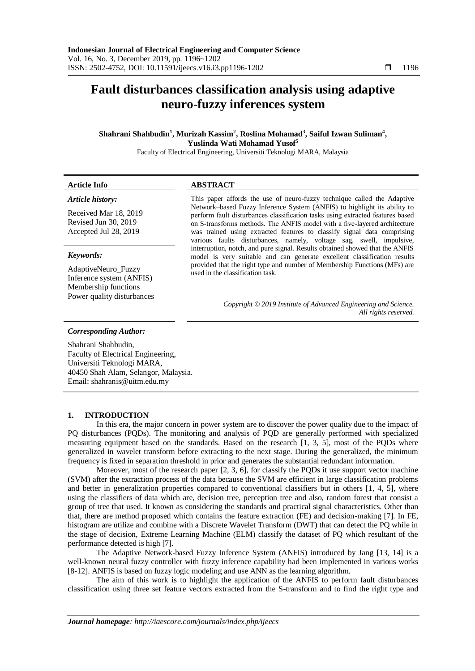# **Fault disturbances classification analysis using adaptive neuro-fuzzy inferences system**

**Shahrani Shahbudin<sup>1</sup> , Murizah Kassim<sup>2</sup> , Roslina Mohamad<sup>3</sup> , Saiful Izwan Suliman<sup>4</sup> , Yuslinda Wati Mohamad Yusof<sup>5</sup>**

Faculty of Electrical Engineering, Universiti Teknologi MARA, Malaysia

| <b>Article Info</b>                                                     | <b>ABSTRACT</b>                                                                                                                                                                                                                                                                                                                                                                           |
|-------------------------------------------------------------------------|-------------------------------------------------------------------------------------------------------------------------------------------------------------------------------------------------------------------------------------------------------------------------------------------------------------------------------------------------------------------------------------------|
| Article history:                                                        | This paper affords the use of neuro-fuzzy technique called the Adaptive                                                                                                                                                                                                                                                                                                                   |
| Received Mar 18, 2019<br>Revised Jun 30, 2019<br>Accepted Jul 28, 2019  | Network–based Fuzzy Inference System (ANFIS) to highlight its ability to<br>perform fault disturbances classification tasks using extracted features based<br>on S-transforms methods. The ANFIS model with a five-layered architecture<br>was trained using extracted features to classify signal data comprising<br>various faults disturbances, namely, voltage sag, swell, impulsive, |
| Keywords:                                                               | interruption, notch, and pure signal. Results obtained showed that the ANFIS<br>model is very suitable and can generate excellent classification results                                                                                                                                                                                                                                  |
| AdaptiveNeuro_Fuzzy<br>Inference system (ANFIS)<br>Membership functions | provided that the right type and number of Membership Functions (MFs) are<br>used in the classification task.                                                                                                                                                                                                                                                                             |

*Copyright © 2019 Institute of Advanced Engineering and Science. All rights reserved.*

#### *Corresponding Author:*

Power quality disturbances

Shahrani Shahbudin, Faculty of Electrical Engineering, Universiti Teknologi MARA, 40450 Shah Alam, Selangor, Malaysia. Email: shahranis@uitm.edu.my

# **1. INTRODUCTION**

In this era, the major concern in power system are to discover the power quality due to the impact of PQ disturbances (PQDs). The monitoring and analysis of PQD are generally performed with specialized measuring equipment based on the standards. Based on the research [1, 3, 5], most of the PQDs where generalized in wavelet transform before extracting to the next stage. During the generalized, the minimum frequency is fixed in separation threshold in prior and generates the substantial redundant information.

Moreover, most of the research paper [2, 3, 6], for classify the PQDs it use support vector machine (SVM) after the extraction process of the data because the SVM are efficient in large classification problems and better in generalization properties compared to conventional classifiers but in others [1, 4, 5], where using the classifiers of data which are, decision tree, perception tree and also, random forest that consist a group of tree that used. It known as considering the standards and practical signal characteristics. Other than that, there are method proposed which contains the feature extraction (FE) and decision-making [7]. In FE, histogram are utilize and combine with a Discrete Wavelet Transform (DWT) that can detect the PQ while in the stage of decision, Extreme Learning Machine (ELM) classify the dataset of PQ which resultant of the performance detected is high [7].

The Adaptive Network-based Fuzzy Inference System (ANFIS) introduced by Jang [13, 14] is a well-known neural fuzzy controller with fuzzy inference capability had been implemented in various works [8-12]. ANFIS is based on fuzzy logic modeling and use ANN as the learning algorithm.

The aim of this work is to highlight the application of the ANFIS to perform fault disturbances classification using three set feature vectors extracted from the S-transform and to find the right type and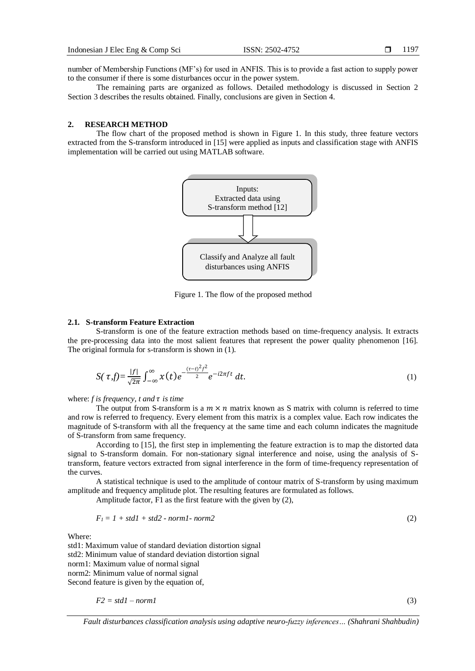number of Membership Functions (MF's) for used in ANFIS. This is to provide a fast action to supply power to the consumer if there is some disturbances occur in the power system.

The remaining parts are organized as follows. Detailed methodology is discussed in Section 2 Section 3 describes the results obtained. Finally, conclusions are given in Section 4.

## **2. RESEARCH METHOD**

The flow chart of the proposed method is shown in Figure 1. In this study, three feature vectors extracted from the S-transform introduced in [15] were applied as inputs and classification stage with ANFIS implementation will be carried out using MATLAB software.



Figure 1. The flow of the proposed method

## **2.1. S-transform Feature Extraction**

S-transform is one of the feature extraction methods based on time-frequency analysis. It extracts the pre-processing data into the most salient features that represent the power quality phenomenon [16]. The original formula for s-transform is shown in (1).

$$
S(\tau,f) = \frac{|f|}{\sqrt{2\pi}} \int_{-\infty}^{\infty} x(t) e^{-\frac{(\tau-t)^2 f^2}{2}} e^{-i2\pi ft} dt.
$$
 (1)

where:  $f$  *is frequency, t and*  $\tau$  *is time* 

The output from S-transform is a  $m \times n$  matrix known as S matrix with column is referred to time and row is referred to frequency. Every element from this matrix is a complex value. Each row indicates the magnitude of S-transform with all the frequency at the same time and each column indicates the magnitude of S-transform from same frequency.

According to [15], the first step in implementing the feature extraction is to map the distorted data signal to S-transform domain. For non-stationary signal interference and noise, using the analysis of Stransform, feature vectors extracted from signal interference in the form of time-frequency representation of the curves.

A statistical technique is used to the amplitude of contour matrix of S-transform by using maximum amplitude and frequency amplitude plot. The resulting features are formulated as follows.

Amplitude factor, F1 as the first feature with the given by (2),

$$
F_1 = 1 + std1 + std2 - normal-norm2
$$
\n<sup>(2)</sup>

Where:

std1: Maximum value of standard deviation distortion signal std2: Minimum value of standard deviation distortion signal norm1: Maximum value of normal signal norm2: Minimum value of normal signal Second feature is given by the equation of,

$$
F2 = stdl - normal \tag{3}
$$

*Fault disturbances classification analysis using adaptive neuro-fuzzy inferences… (Shahrani Shahbudin)*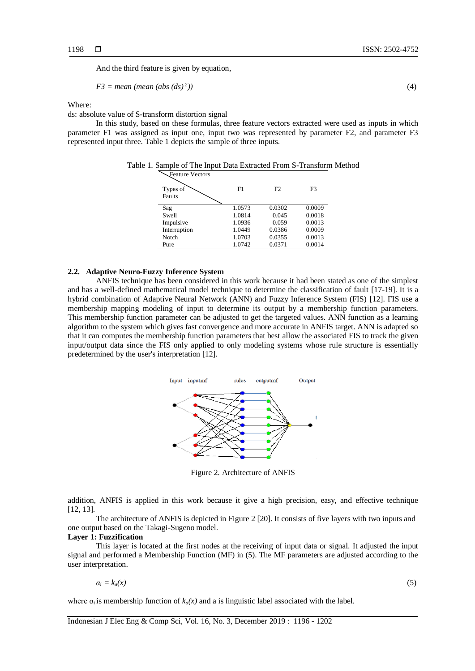And the third feature is given by equation,

$$
F3 = \text{mean} \ (\text{mean} \ (abs \ (ds)^2)) \tag{4}
$$

Where:

ds: absolute value of S-transform distortion signal

In this study, based on these formulas, three feature vectors extracted were used as inputs in which parameter F1 was assigned as input one, input two was represented by parameter F2, and parameter F3 represented input three. Table 1 depicts the sample of three inputs.

| Feature Vectors<br>Types of<br>Faults | F1     | F <sub>2</sub> | F3     |
|---------------------------------------|--------|----------------|--------|
| Sag                                   | 1.0573 | 0.0302         | 0.0009 |
| Swell                                 | 1.0814 | 0.045          | 0.0018 |
| Impulsive                             | 1.0936 | 0.059          | 0.0013 |
| Interruption                          | 1.0449 | 0.0386         | 0.0009 |
| Notch                                 | 1.0703 | 0.0355         | 0.0013 |
| Pure                                  | 1.0742 | 0.0371         | 0.0014 |

Table 1. Sample of The Input Data Extracted From S-Transform Method

#### **2.2. Adaptive Neuro-Fuzzy Inference System**

ANFIS technique has been considered in this work because it had been stated as one of the simplest and has a well-defined mathematical model technique to determine the classification of fault [17-19]. It is a hybrid combination of Adaptive Neural Network (ANN) and Fuzzy Inference System (FIS) [12]. FIS use a membership mapping modeling of input to determine its output by a membership function parameters. This membership function parameter can be adjusted to get the targeted values. ANN function as a learning algorithm to the system which gives fast convergence and more accurate in ANFIS target. ANN is adapted so that it can computes the membership function parameters that best allow the associated FIS to track the given input/output data since the FIS only applied to only modeling systems whose rule structure is essentially predetermined by the user's interpretation [12].



Figure 2. Architecture of ANFIS

addition, ANFIS is applied in this work because it give a high precision, easy, and effective technique [12, 13].

The architecture of ANFIS is depicted in Figure 2 [20]. It consists of five layers with two inputs and one output based on the Takagi-Sugeno model.

## **Layer 1: Fuzzification**

This layer is located at the first nodes at the receiving of input data or signal. It adjusted the input signal and performed a Membership Function (MF) in (5). The MF parameters are adjusted according to the user interpretation.

$$
a_i = k_a(x) \tag{5}
$$

where  $\alpha_i$  is membership function of  $k_a(x)$  and a is linguistic label associated with the label.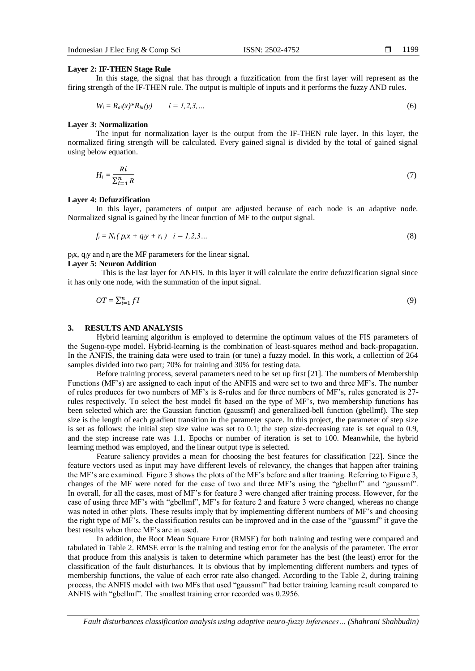In this stage, the signal that has through a fuzzification from the first layer will represent as the firing strength of the IF-THEN rule. The output is multiple of inputs and it performs the fuzzy AND rules.

$$
W_i = R_{ai}(x)^* R_{bi}(y) \qquad i = 1, 2, 3, ... \tag{6}
$$

#### **Layer 3: Normalization**

The input for normalization layer is the output from the IF-THEN rule layer. In this layer, the normalized firing strength will be calculated. Every gained signal is divided by the total of gained signal using below equation.

$$
H_i = \frac{Ri}{\sum_{i=1}^{n} R} \tag{7}
$$

#### **Layer 4: Defuzzification**

In this layer, parameters of output are adjusted because of each node is an adaptive node. Normalized signal is gained by the linear function of MF to the output signal.

$$
f_i = N_i (p_i x + q_i y + r_i) \quad i = 1, 2, 3 \dots \tag{8}
$$

 $p_i$ x,  $q_i$ y and  $r_i$  are the MF parameters for the linear signal.

#### **Layer 5: Neuron Addition**

This is the last layer for ANFIS. In this layer it will calculate the entire defuzzification signal since it has only one node, with the summation of the input signal.

$$
OT = \sum_{i=1}^{n} fI \tag{9}
$$

#### **3. RESULTS AND ANALYSIS**

Hybrid learning algorithm is employed to determine the optimum values of the FIS parameters of the Sugeno-type model. Hybrid-learning is the combination of least-squares method and back-propagation. In the ANFIS, the training data were used to train (or tune) a fuzzy model. In this work, a collection of 264 samples divided into two part; 70% for training and 30% for testing data.

Before training process, several parameters need to be set up first [21]. The numbers of Membership Functions (MF's) are assigned to each input of the ANFIS and were set to two and three MF's. The number of rules produces for two numbers of MF's is 8-rules and for three numbers of MF's, rules generated is 27 rules respectively. To select the best model fit based on the type of MF's, two membership functions has been selected which are: the Gaussian function (gaussmf) and generalized-bell function (gbellmf). The step size is the length of each gradient transition in the parameter space. In this project, the parameter of step size is set as follows: the initial step size value was set to 0.1; the step size-decreasing rate is set equal to 0.9, and the step increase rate was 1.1. Epochs or number of iteration is set to 100. Meanwhile, the hybrid learning method was employed, and the linear output type is selected.

Feature saliency provides a mean for choosing the best features for classification [22]. Since the feature vectors used as input may have different levels of relevancy, the changes that happen after training the MF's are examined. Figure 3 shows the plots of the MF's before and after training. Referring to Figure 3, changes of the MF were noted for the case of two and three MF's using the "gbellmf" and "gaussmf". In overall, for all the cases, most of MF's for feature 3 were changed after training process. However, for the case of using three MF's with "gbellmf", MF's for feature 2 and feature 3 were changed, whereas no change was noted in other plots. These results imply that by implementing different numbers of MF's and choosing the right type of MF's, the classification results can be improved and in the case of the "gaussmf" it gave the best results when three MF's are in used.

In addition, the Root Mean Square Error (RMSE) for both training and testing were compared and tabulated in Table 2. RMSE error is the training and testing error for the analysis of the parameter. The error that produce from this analysis is taken to determine which parameter has the best (the least) error for the classification of the fault disturbances. It is obvious that by implementing different numbers and types of membership functions, the value of each error rate also changed. According to the Table 2, during training process, the ANFIS model with two MFs that used "gaussmf" had better training learning result compared to ANFIS with "gbellmf". The smallest training error recorded was 0.2956.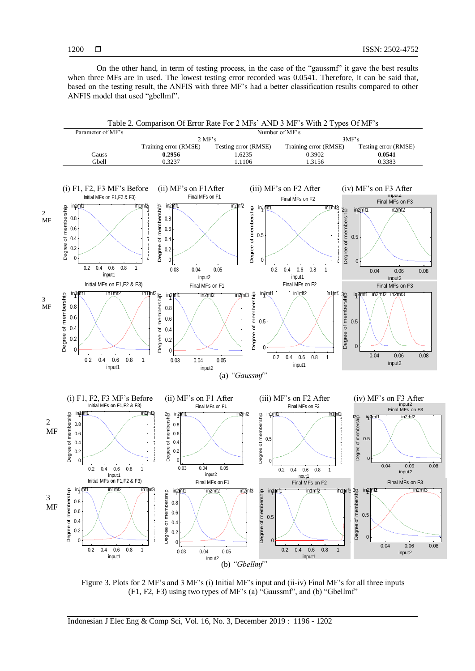On the other hand, in term of testing process, in the case of the "gaussmf" it gave the best results when three MFs are in used. The lowest testing error recorded was 0.0541. Therefore, it can be said that, based on the testing result, the ANFIS with three MF's had a better classification results compared to other ANFIS model that used "gbellmf".



Figure 3. Plots for 2 MF's and 3 MF's (i) Initial MF's input and (ii-iv) Final MF's for all three inputs (F1, F2, F3) using two types of MF's (a) "Gaussmf", and (b) "Gbellmf"  $\frac{dF}{dr}$ a<br>Degree of membership<br>Degree of membership

Indonesian J Elec Eng & Comp Sci, Vol. 16, No. 3, December 2019 : 1196 - 1202  $\frac{1}{\log n}$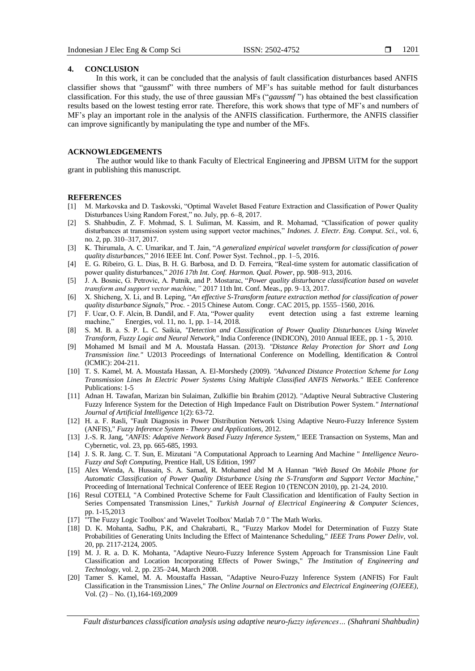## **4. CONCLUSION**

In this work, it can be concluded that the analysis of fault classification disturbances based ANFIS classifier shows that "gaussmf" with three numbers of MF's has suitable method for fault disturbances classification. For this study, the use of three gaussian MFs ("*gaussmf* ") has obtained the best classification results based on the lowest testing error rate. Therefore, this work shows that type of MF's and numbers of MF's play an important role in the analysis of the ANFIS classification. Furthermore, the ANFIS classifier can improve significantly by manipulating the type and number of the MFs.

# **ACKNOWLEDGEMENTS**

The author would like to thank Faculty of Electrical Engineering and JPBSM UiTM for the support grant in publishing this manuscript.

#### **REFERENCES**

- [1] M. Markovska and D. Taskovski, "Optimal Wavelet Based Feature Extraction and Classification of Power Quality Disturbances Using Random Forest," no. July, pp. 6–8, 2017.
- [2] S. Shahbudin, Z. F. Mohmad, S. I. Suliman, M. Kassim, and R. Mohamad, "Classification of power quality disturbances at transmission system using support vector machines," *Indones. J. Electr. Eng. Comput. Sci*., vol. 6, no. 2, pp. 310–317, 2017.
- [3] K. Thirumala, A. C. Umarikar, and T. Jain, "*A generalized empirical wavelet transform for classification of power quality disturbances,*" 2016 IEEE Int. Conf. Power Syst. Technol., pp. 1–5, 2016.
- [4] E. G. Ribeiro, G. L. Dias, B. H. G. Barbosa, and D. D. Ferreira, "Real-time system for automatic classification of power quality disturbances," *2016 17th Int. Conf. Harmon. Qual. Power*, pp. 908–913, 2016.
- [5] J. A. Bosnic, G. Petrovic, A. Putnik, and P. Mostarac, "*Power quality disturbance classification based on wavelet transform and support vector machine,"* 2017 11th Int. Conf. Meas., pp. 9–13, 2017.
- [6] X. Shicheng, X. Li, and B. Leping, "*An effective S-Transform feature extraction method for classification of power*
- *quality disturbance Signals,*" Proc. 2015 Chinese Autom. Congr. CAC 2015, pp. 1555–1560, 2016. [7] F. Ucar, O. F. Alcin, B. Dandil, and F. Ata, "Power quality machine," Energies, vol. 11, no. 1, pp. 1–14, 2018.
- [8] S. M. B. a. S. P. L. C. Saikia, *"Detection and Classification of Power Quality Disturbances Using Wavelet Transform, Fuzzy Logic and Neural Network,"* India Conference (INDICON), 2010 Annual IEEE, pp. 1 - 5, 2010.
- [9] Mohamed M Ismail and M A. Moustafa Hassan. (2013). *"Distance Relay Protection for Short and Long Transmission line."* U2013 Proceedings of International Conference on Modelling, Identification & Control (lCMIC): 204-211.
- [10] T. S. Kamel, M. A. Moustafa Hassan, A. El-Morshedy (2009). *"Advanced Distance Protection Scheme for Long Transmission Lines In Electric Power Systems Using Multiple Classified ANFIS Networks."* IEEE Conference Publications: 1-5
- [11] Adnan H. Tawafan, Marizan bin Sulaiman, Zulkiflie bin Ibrahim (2012). "Adaptive Neural Subtractive Clustering Fuzzy Inference System for the Detection of High Impedance Fault on Distribution Power System*." International Journal of Artificial Intelligence* 1(2): 63-72.
- [12] H. a. F. Rasli, "Fault Diagnosis in Power Distribution Network Using Adaptive Neuro-Fuzzy Inference System (ANFIS)," *Fuzzy Inference System - Theory and Applications,* 2012.
- [13] J.-S. R. Jang, "*ANFIS: Adaptive Network Based Fuzzy Inference System,"* IEEE Transaction on Systems, Man and Cybernetic, vol. 23, pp. 665-685, 1993.
- [14] J. S. R. Jang. C. T. Sun, E. Mizutani "A Computational Approach to Learning And Machine " *Intelligence Neuro-Fuzzy and Soft Computing*, Prentice Hall, US Edition, 1997
- [15] Alex Wenda, A. Hussain, S. A. Samad, R. Mohamed abd M A Hannan *"Web Based On Mobile Phone for Automatic Classification of Power Quality Disturbance Using the S-Transform and Support Vector Machine*," Proceeding of International Technical Conference of IEEE Region 10 (TENCON 2010), pp. 21-24, 2010.
- [16] Resul COTELI, "A Combined Protective Scheme for Fault Classification and Identification of Faulty Section in Series Compensated Transmission Lines," *Turkish Journal of Electrical Engineering & Computer Sciences*, pp. 1-15,2013
- [17] "'The Fuzzy Logic Toolbox' and 'Wavelet Toolbox' Matlab 7.0 " The Math Works.
- [18] D. K. Mohanta, Sadhu, P.K, and Chakrabarti, R., "Fuzzy Markov Model for Determination of Fuzzy State Probabilities of Generating Units Including the Effect of Maintenance Scheduling," *IEEE Trans Power Deliv*, vol. 20, pp. 2117-2124, 2005.
- [19] M. J. R. a. D. K. Mohanta, "Adaptive Neuro-Fuzzy Inference System Approach for Transmission Line Fault Classification and Location Incorporating Effects of Power Swings," *The Institution of Engineering and Technology,* vol. 2, pp. 235–244, March 2008.
- [20] Tamer S. Kamel, M. A. Moustaffa Hassan, "Adaptive Neuro-Fuzzy Inference System (ANFIS) For Fault Classification in the Transmission Lines," *The Online Journal on Electronics and Electrical Engineering (OJEEE)*, Vol. (2) – No. (1),164-169,2009

*Fault disturbances classification analysis using adaptive neuro-fuzzy inferences… (Shahrani Shahbudin)*